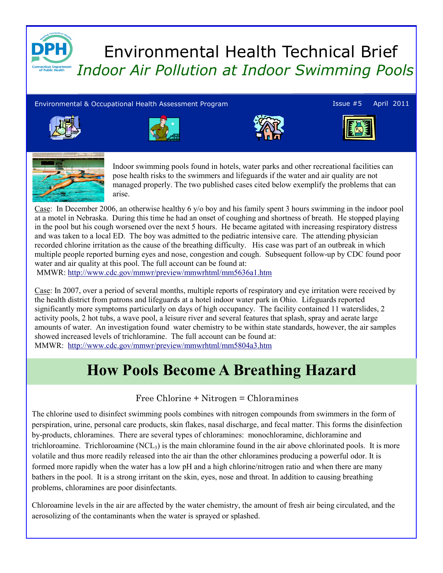

# Environmental Health Technical Brief Indoor Air Pollution at Indoor Swimming Pools

#### Environmental & Occupational Health Assessment Program Issue #5 April 2011











Indoor swimming pools found in hotels, water parks and other recreational facilities can pose health risks to the swimmers and lifeguards if the water and air quality are not managed properly. The two published cases cited below exemplify the problems that can arise.

Case: In December 2006, an otherwise healthy 6 y/o boy and his family spent 3 hours swimming in the indoor pool at a motel in Nebraska. During this time he had an onset of coughing and shortness of breath. He stopped playing in the pool but his cough worsened over the next 5 hours. He became agitated with increasing respiratory distress and was taken to a local ED. The boy was admitted to the pediatric intensive care. The attending physician recorded chlorine irritation as the cause of the breathing difficulty. His case was part of an outbreak in which multiple people reported burning eyes and nose, congestion and cough. Subsequent follow-up by CDC found poor water and air quality at this pool. The full account can be found at:

MMWR: http://www.cdc.gov/mmwr/preview/mmwrhtml/mm5636a1.htm

Case: In 2007, over a period of several months, multiple reports of respiratory and eye irritation were received by the health district from patrons and lifeguards at a hotel indoor water park in Ohio. Lifeguards reported significantly more symptoms particularly on days of high occupancy. The facility contained 11 waterslides, 2 activity pools, 2 hot tubs, a wave pool, a leisure river and several features that splash, spray and aerate large amounts of water. An investigation found water chemistry to be within state standards, however, the air samples showed increased levels of trichloramine. The full account can be found at: MMWR: http://www.cdc.gov/mmwr/preview/mmwrhtml/mm5804a3.htm

# How Pools Become A Breathing Hazard

#### Free Chlorine + Nitrogen = Chloramines

The chlorine used to disinfect swimming pools combines with nitrogen compounds from swimmers in the form of perspiration, urine, personal care products, skin flakes, nasal discharge, and fecal matter. This forms the disinfection by-products, chloramines. There are several types of chloramines: monochloramine, dichloramine and trichloroamine. Trichloroamine (NCL<sub>3</sub>) is the main chloramine found in the air above chlorinated pools. It is more volatile and thus more readily released into the air than the other chloramines producing a powerful odor. It is formed more rapidly when the water has a low pH and a high chlorine/nitrogen ratio and when there are many bathers in the pool. It is a strong irritant on the skin, eyes, nose and throat. In addition to causing breathing problems, chloramines are poor disinfectants.

Chloroamine levels in the air are affected by the water chemistry, the amount of fresh air being circulated, and the aerosolizing of the contaminants when the water is sprayed or splashed.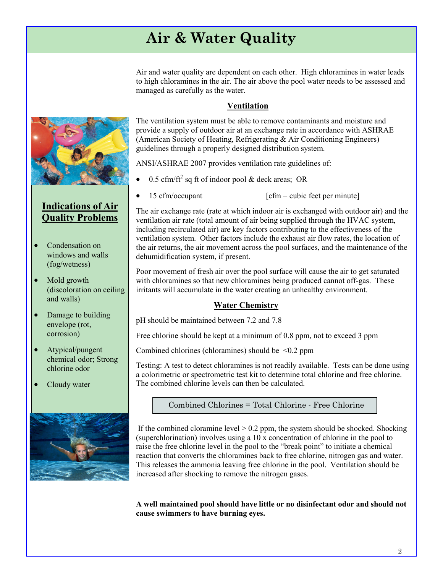# Air & Water Quality

Air and water quality are dependent on each other. High chloramines in water leads to high chloramines in the air. The air above the pool water needs to be assessed and managed as carefully as the water.

#### Ventilation

The ventilation system must be able to remove contaminants and moisture and provide a supply of outdoor air at an exchange rate in accordance with ASHRAE (American Society of Heating, Refrigerating & Air Conditioning Engineers) guidelines through a properly designed distribution system.

ANSI/ASHRAE 2007 provides ventilation rate guidelines of:

- $\bullet$  0.5 cfm/ft<sup>2</sup> sq ft of indoor pool & deck areas; OR
- 15 cfm/occupant  $[\text{cfm} = \text{cubic feet per minute}]$

The air exchange rate (rate at which indoor air is exchanged with outdoor air) and the ventilation air rate (total amount of air being supplied through the HVAC system, including recirculated air) are key factors contributing to the effectiveness of the ventilation system. Other factors include the exhaust air flow rates, the location of the air returns, the air movement across the pool surfaces, and the maintenance of the dehumidification system, if present.

Poor movement of fresh air over the pool surface will cause the air to get saturated with chloramines so that new chloramines being produced cannot off-gas. These irritants will accumulate in the water creating an unhealthy environment.

#### **Water Chemistry**

pH should be maintained between 7.2 and 7.8

Free chlorine should be kept at a minimum of 0.8 ppm, not to exceed 3 ppm

Combined chlorines (chloramines) should be  $\leq 0.2$  ppm

Testing: A test to detect chloramines is not readily available. Tests can be done using a colorimetric or spectrometric test kit to determine total chlorine and free chlorine. The combined chlorine levels can then be calculated.

Combined Chlorines = Total Chlorine - Free Chlorine

If the combined cloramine level  $> 0.2$  ppm, the system should be shocked. Shocking (superchlorination) involves using a 10 x concentration of chlorine in the pool to raise the free chlorine level in the pool to the "break point" to initiate a chemical reaction that converts the chloramines back to free chlorine, nitrogen gas and water. This releases the ammonia leaving free chlorine in the pool. Ventilation should be increased after shocking to remove the nitrogen gases.

A well maintained pool should have little or no disinfectant odor and should not cause swimmers to have burning eyes.



### Indications of Air Quality Problems

- Condensation on windows and walls (fog/wetness)
- Mold growth (discoloration on ceiling and walls)
- Damage to building envelope (rot, corrosion)
- Atypical/pungent chemical odor; Strong chlorine odor
- Cloudy water

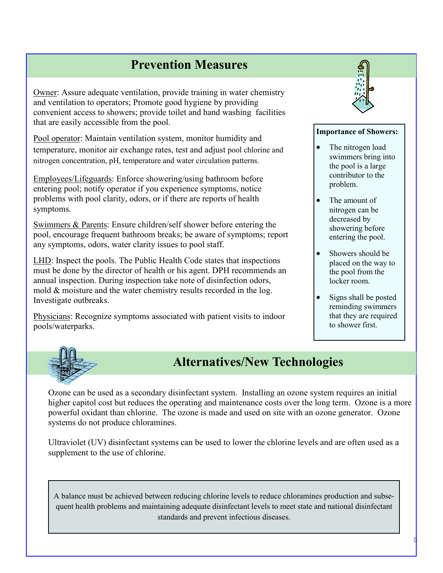### Prevention Measures

Owner: Assure adequate ventilation, provide training in water chemistry and ventilation to operators; Promote good hygiene by providing convenient access to showers; provide toilet and hand washing facilities that are easily accessible from the pool.

Pool operator: Maintain ventilation system, monitor humidity and temperature, monitor air exchange rates, test and adjust pool chlorine and nitrogen concentration, pH, temperature and water circulation patterns.

Employees/Lifeguards: Enforce showering/using bathroom before entering pool; notify operator if you experience symptoms, notice problems with pool clarity, odors, or if there are reports of health symptoms.

Swimmers & Parents: Ensure children/self shower before entering the pool, encourage frequent bathroom breaks; be aware of symptoms; report any symptoms, odors, water clarity issues to pool staff.

LHD: Inspect the pools. The Public Health Code states that inspections must be done by the director of health or his agent. DPH recommends an annual inspection. During inspection take note of disinfection odors, mold & moisture and the water chemistry results recorded in the log. Investigate outbreaks.

Physicians: Recognize symptoms associated with patient visits to indoor pools/waterparks.



#### Importance of Showers:

- The nitrogen load swimmers bring into the pool is a large contributor to the problem.
- The amount of nitrogen can be decreased by showering before entering the pool.
- Showers should be placed on the way to the pool from the locker room.
- Signs shall be posted reminding swimmers that they are required to shower first.



## Alternatives/New Technologies

Ozone can be used as a secondary disinfectant system. Installing an ozone system requires an initial higher capitol cost but reduces the operating and maintenance costs over the long term. Ozone is a more powerful oxidant than chlorine. The ozone is made and used on site with an ozone generator. Ozone systems do not produce chloramines.

Ultraviolet (UV) disinfectant systems can be used to lower the chlorine levels and are often used as a supplement to the use of chlorine.

A balance must be achieved between reducing chlorine levels to reduce chloramines production and subsequent health problems and maintaining adequate disinfectant levels to meet state and national disinfectant standards and prevent infectious diseases.